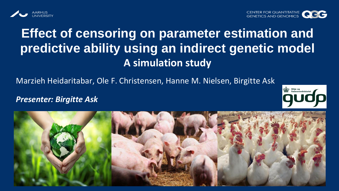



# **Effect of censoring on parameter estimation and predictive ability using an indirect genetic model A simulation study**

Marzieh Heidaritabar, Ole F. Christensen, Hanne M. Nielsen, Birgitte Ask

#### *Presenter: Birgitte Ask*



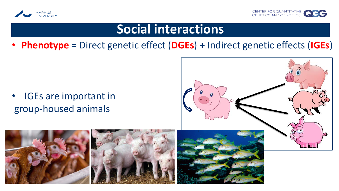



### **Social interactions**

• **Phenotype** = Direct genetic effect (**DGEs**) **+** Indirect genetic effects (**IGEs**)

• IGEs are important in group-housed animals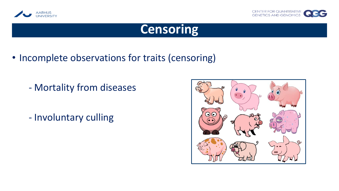



### **Censoring**

- Incomplete observations for traits (censoring)
	- Mortality from diseases
	- Involuntary culling

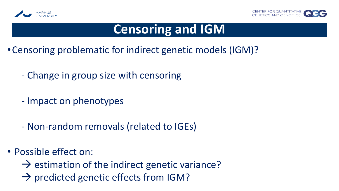



### **Censoring and IGM**

- •Censoring problematic for indirect genetic models (IGM)?
	- Change in group size with censoring
	- Impact on phenotypes
	- Non-random removals (related to IGEs)
- Possible effect on:
	- $\rightarrow$  estimation of the indirect genetic variance?
	- $\rightarrow$  predicted genetic effects from IGM?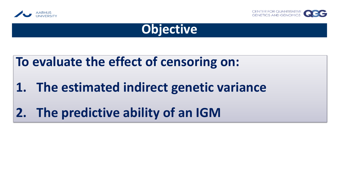





### **To evaluate the effect of censoring on:**

# **1. The estimated indirect genetic variance**

# **2. The predictive ability of an IGM**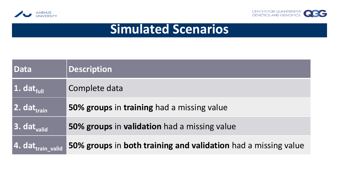



# **Simulated Scenarios**

| <b>Data</b>                   | <b>Description</b>                                             |
|-------------------------------|----------------------------------------------------------------|
| 1. dat <sub>full</sub>        | Complete data                                                  |
| 2. dat <sub>train</sub>       | 50% groups in training had a missing value                     |
| 3. dat <sub>valid</sub>       | 50% groups in validation had a missing value                   |
| 4. dat <sub>train_valid</sub> | 50% groups in both training and validation had a missing value |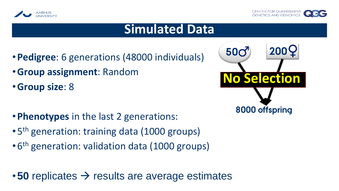



#### **Simulated Data**

- •**Pedigree**: 6 generations (48000 individuals)
- •**Group assignment**: Random
- •**Group size**: 8
- •**Phenotypes** in the last 2 generations:
- 5<sup>th</sup> generation: training data (1000 groups)
- 6<sup>th</sup> generation: validation data (1000 groups)

•**50** replicates → results are average estimates

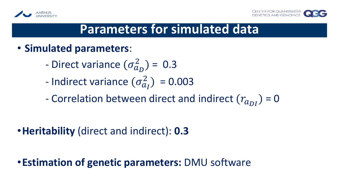



### **Parameters for simulated data**

- **Simulated parameters**:
	- Direct variance  $(\sigma_{a_D}^2)$  = 0.3
	- Indirect variance  $(\sigma_{a_I}^2) = 0.003$
	- Correlation between direct and indirect  $(r_{a_{DI}})$  = 0

•**Heritability** (direct and indirect): **0.3**

•**Estimation of genetic parameters:** DMU software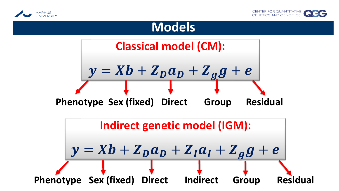



#### **Models**

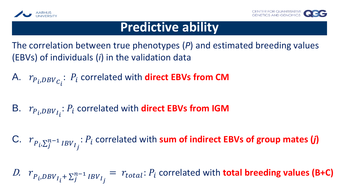



### **Predictive ability**

The correlation between true phenotypes (*P*) and estimated breeding values (EBVs) of individuals (*i*) in the validation data

A.  $r_{P_i, DBV_{C_i}}$  $P_i$  correlated with **direct EBVs from CM** 

B.  $r_{P_i, DBV_{I_i}}$  $P_i$  correlated with **direct EBVs from IGM** 

C.  $r_{P_i, \sum_j^{n-1} IBV_{I_j}}$  $P_i$  correlated with sum of indirect EBVs of group mates  $(i)$ 

D.  $r_{P_i, DBV_{I_i} + \sum_{j}^{n-1} IBV_{I_j}}$  $= r_{total}$ :  $P_i$  correlated with **total breeding values (B+C)**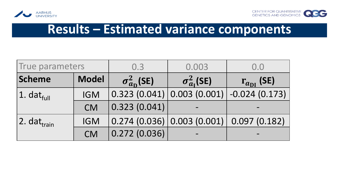



# **Results – Estimated variance components**

| True parameters                      |              | 0.3                         | 0.003                                       | 0.0                                       |  |
|--------------------------------------|--------------|-----------------------------|---------------------------------------------|-------------------------------------------|--|
| Scheme                               | <b>Model</b> | $\sigma_{a_{\rm D}}^2$ (SE) | $\sigma_{a_I}^2$ (SE)                       | $r_{a_{\text{DI}}}$ (SE)                  |  |
| $ 1.$ dat $_{\text{full}}$           | <b>IGM</b>   |                             |                                             | $0.323(0.041) 0.003(0.001) -0.024(0.173)$ |  |
|                                      | <b>CM</b>    | 0.323(0.041)                |                                             |                                           |  |
| $ 2.$ dat $_{\mathsf{train}}\rangle$ | <b>IGM</b>   |                             | $0.274$ (0.036) 0.003 (0.001) 0.097 (0.182) |                                           |  |
|                                      | <b>CM</b>    | 0.272(0.036)                |                                             |                                           |  |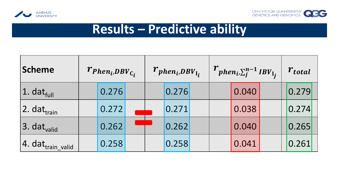



### **Results – Predictive ability**

| Scheme                        | $r_{Phen_i, DBV_{C_i}}$ |       | $r_{phen_i, DBV_{I_i}}$ |  |       | $r_{phen_i, \sum_{j}^{n-1}IBV_{I_j}}$ |  |       | $r_{total}$ |       |  |
|-------------------------------|-------------------------|-------|-------------------------|--|-------|---------------------------------------|--|-------|-------------|-------|--|
| 1. $dat_{full}$               |                         | 0.276 |                         |  | 0.276 |                                       |  | 0.040 |             | 0.279 |  |
| 2. dat <sub>train</sub>       |                         | 0.272 |                         |  | 0.271 |                                       |  | 0.038 |             | 0.274 |  |
| 3. dat <sub>valid</sub>       |                         | 0.262 |                         |  | 0.262 |                                       |  | 0.040 |             | 0.265 |  |
| 4. dat <sub>train_valid</sub> |                         | 0.258 |                         |  | 0.258 |                                       |  | 0.041 |             | 0.261 |  |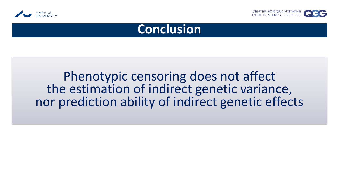



#### **Conclusion**

### Phenotypic censoring does not affect the estimation of indirect genetic variance, nor prediction ability of indirect genetic effects